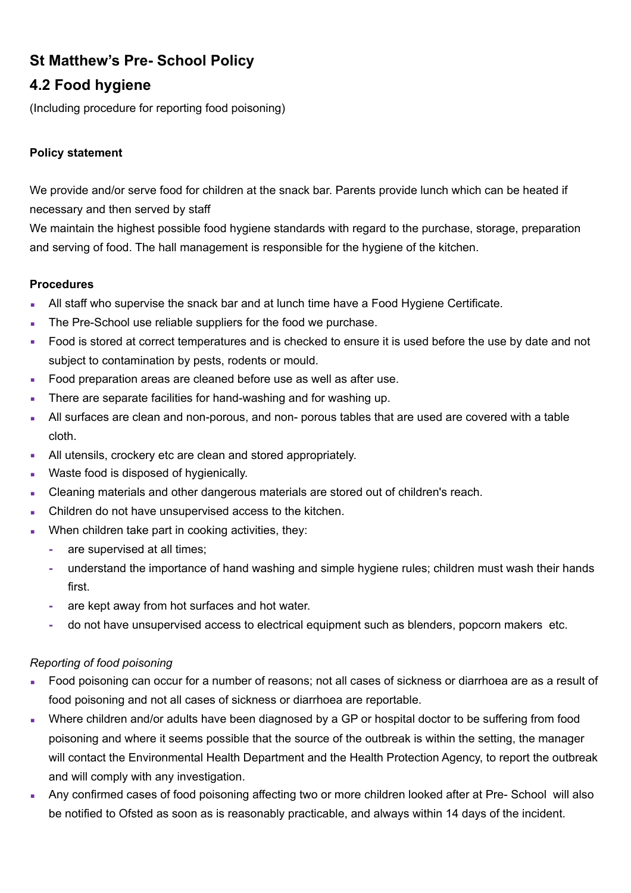# **St Matthew's Pre- School Policy**

## **4.2 Food hygiene**

(Including procedure for reporting food poisoning)

### **Policy statement**

We provide and/or serve food for children at the snack bar. Parents provide lunch which can be heated if necessary and then served by staff

We maintain the highest possible food hygiene standards with regard to the purchase, storage, preparation and serving of food. The hall management is responsible for the hygiene of the kitchen.

#### **Procedures**

- All staff who supervise the snack bar and at lunch time have a Food Hygiene Certificate.
- The Pre-School use reliable suppliers for the food we purchase.
- Food is stored at correct temperatures and is checked to ensure it is used before the use by date and not subject to contamination by pests, rodents or mould.
- Food preparation areas are cleaned before use as well as after use.
- There are separate facilities for hand-washing and for washing up.
- All surfaces are clean and non-porous, and non- porous tables that are used are covered with a table cloth.
- All utensils, crockery etc are clean and stored appropriately.
- Waste food is disposed of hygienically.
- Cleaning materials and other dangerous materials are stored out of children's reach.
- Children do not have unsupervised access to the kitchen.
- When children take part in cooking activities, they:
	- **-** are supervised at all times;
	- **-** understand the importance of hand washing and simple hygiene rules; children must wash their hands first.
	- **-** are kept away from hot surfaces and hot water.
	- **-** do not have unsupervised access to electrical equipment such as blenders, popcorn makers etc.

#### *Reporting of food poisoning*

- Food poisoning can occur for a number of reasons; not all cases of sickness or diarrhoea are as a result of food poisoning and not all cases of sickness or diarrhoea are reportable.
- Where children and/or adults have been diagnosed by a GP or hospital doctor to be suffering from food poisoning and where it seems possible that the source of the outbreak is within the setting, the manager will contact the Environmental Health Department and the Health Protection Agency, to report the outbreak and will comply with any investigation.
- Any confirmed cases of food poisoning affecting two or more children looked after at Pre- School will also be notified to Ofsted as soon as is reasonably practicable, and always within 14 days of the incident.